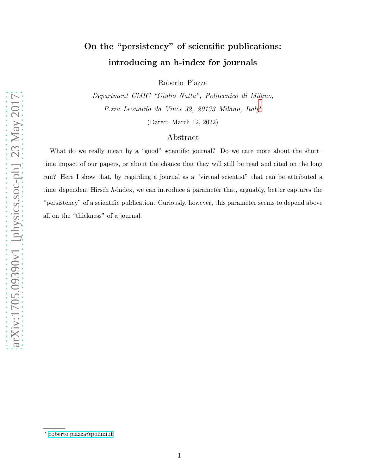## On the "persistency" of scientific publications: introducing an h-index for journals

Roberto Piazza

Department CMIC "Giulio Natta", Politecnico di Milano, P.zza Leonardo da Vinci 32, 20133 Milano, Italy[∗](#page-0-0)

(Dated: March 12, 2022)

## Abstract

What do we really mean by a "good" scientific journal? Do we care more about the shorttime impact of our papers, or about the chance that they will still be read and cited on the long run? Here I show that, by regarding a journal as a "virtual scientist" that can be attributed a time–dependent Hirsch h-index, we can introduce a parameter that, arguably, better captures the "persistency" of a scientific publication. Curiously, however, this parameter seems to depend above all on the "thickness" of a journal.

<span id="page-0-0"></span><sup>∗</sup> [roberto.piazza@polimi.it](mailto:roberto.piazza@polimi.it)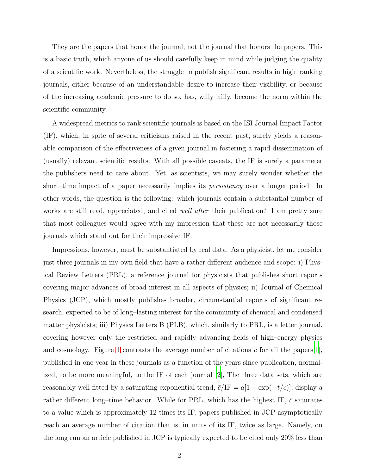They are the papers that honor the journal, not the journal that honors the papers. This is a basic truth, which anyone of us should carefully keep in mind while judging the quality of a scientific work. Nevertheless, the struggle to publish significant results in high–ranking journals, either because of an understandable desire to increase their visibility, or because of the increasing academic pressure to do so, has, willy–nilly, become the norm within the scientific community.

A widespread metrics to rank scientific journals is based on the ISI Journal Impact Factor (IF), which, in spite of several criticisms raised in the recent past, surely yields a reasonable comparison of the effectiveness of a given journal in fostering a rapid dissemination of (usually) relevant scientific results. With all possible caveats, the IF is surely a parameter the publishers need to care about. Yet, as scientists, we may surely wonder whether the short–time impact of a paper necessarily implies its *persistency* over a longer period. In other words, the question is the following: which journals contain a substantial number of works are still read, appreciated, and cited *well after* their publication? I am pretty sure that most colleagues would agree with my impression that these are not necessarily those journals which stand out for their impressive IF.

Impressions, however, must be substantiated by real data. As a physicist, let me consider just three journals in my own field that have a rather different audience and scope: i) Physical Review Letters (PRL), a reference journal for physicists that publishes short reports covering major advances of broad interest in all aspects of physics; ii) Journal of Chemical Physics (JCP), which mostly publishes broader, circumstantial reports of significant research, expected to be of long–lasting interest for the community of chemical and condensed matter physicists; iii) Physics Letters B (PLB), which, similarly to PRL, is a letter journal, covering however only the restricted and rapidly advancing fields of high–energy physics and cosmology. Figure [1](#page-2-0) contrasts the average number of citations  $\bar{c}$  for all the papers[\[1\]](#page-9-0), published in one year in these journals as a function of the years since publication, normalized, to be more meaningful, to the IF of each journal [\[2](#page-9-1)], The three data sets, which are reasonably well fitted by a saturating exponential trend,  $\bar{c}/IF = a[1 - \exp(-t/c)]$ , display a rather different long–time behavior. While for PRL, which has the highest IF,  $\bar{c}$  saturates to a value which is approximately 12 times its IF, papers published in JCP asymptotically reach an average number of citation that is, in units of its IF, twice as large. Namely, on the long run an article published in JCP is typically expected to be cited only 20% less than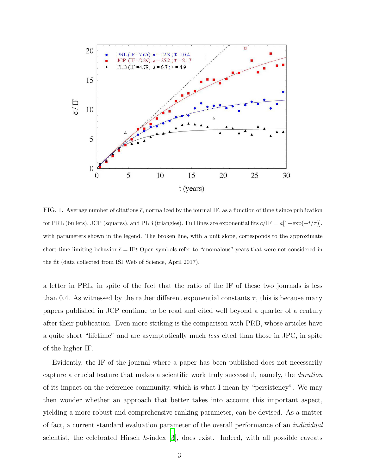

<span id="page-2-0"></span>FIG. 1. Average number of citations  $\bar{c}$ , normalized by the journal IF, as a function of time t since publication for PRL (bullets), JCP (squares), and PLB (triangles). Full lines are exponential fits  $c/\text{IF} = a[1-\exp(-t/\tau)],$ with parameters shown in the legend. The broken line, with a unit slope, corresponds to the approximate short-time limiting behavior  $\bar{c} = \text{IFt}$  Open symbols refer to "anomalous" years that were not considered in the fit (data collected from ISI Web of Science, April 2017).

a letter in PRL, in spite of the fact that the ratio of the IF of these two journals is less than 0.4. As witnessed by the rather different exponential constants  $\tau$ , this is because many papers published in JCP continue to be read and cited well beyond a quarter of a century after their publication. Even more striking is the comparison with PRB, whose articles have a quite short "lifetime" and are asymptotically much less cited than those in JPC, in spite of the higher IF.

Evidently, the IF of the journal where a paper has been published does not necessarily capture a crucial feature that makes a scientific work truly successful, namely, the duration of its impact on the reference community, which is what I mean by "persistency". We may then wonder whether an approach that better takes into account this important aspect, yielding a more robust and comprehensive ranking parameter, can be devised. As a matter of fact, a current standard evaluation parameter of the overall performance of an individual scientist, the celebrated Hirsch h-index  $[3]$ , does exist. Indeed, with all possible caveats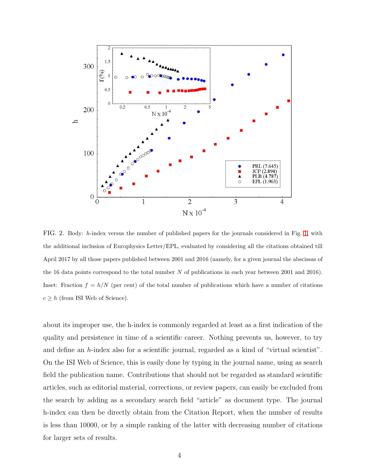

<span id="page-3-0"></span>FIG. 2. Body: h-index versus the number of published papers for the journals considered in Fig. [1,](#page-2-0) with the additional inclusion of Europhysics Letter/EPL, evaluated by considering all the citations obtained till April 2017 by all those papers published between 2001 and 2016 (namely, for a given journal the abscissas of the 16 data points correspond to the total number N of publications in each year between 2001 and 2016). Inset: Fraction  $f = h/N$  (per cent) of the total number of publications which have a number of citations  $c \geq h$  (from ISI Web of Science).

about its improper use, the h-index is commonly regarded at least as a first indication of the quality and persistence in time of a scientific career. Nothing prevents us, however, to try and define an  $h$ -index also for a scientific journal, regarded as a kind of "virtual scientist". On the ISI Web of Science, this is easily done by typing in the journal name, using as search field the publication name. Contributions that should not be regarded as standard scientific articles, such as editorial material, corrections, or review papers, can easily be excluded from the search by adding as a secondary search field "article" as document type. The journal h-index can then be directly obtain from the Citation Report, when the number of results is less than 10000, or by a simple ranking of the latter with decreasing number of citations for larger sets of results.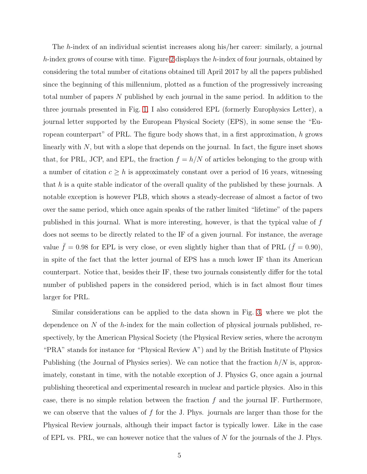The h-index of an individual scientist increases along his/her career: similarly, a journal  $h$ -index grows of course with time. Figure [2](#page-3-0) displays the  $h$ -index of four journals, obtained by considering the total number of citations obtained till April 2017 by all the papers published since the beginning of this millennium, plotted as a function of the progressively increasing total number of papers N published by each journal in the same period. In addition to the three journals presented in Fig. [1,](#page-2-0) I also considered EPL (formerly Europhysics Letter), a journal letter supported by the European Physical Society (EPS), in some sense the "European counterpart" of PRL. The figure body shows that, in a first approximation, h grows linearly with  $N$ , but with a slope that depends on the journal. In fact, the figure inset shows that, for PRL, JCP, and EPL, the fraction  $f = h/N$  of articles belonging to the group with a number of citation  $c \geq h$  is approximately constant over a period of 16 years, witnessing that h is a quite stable indicator of the overall quality of the published by these journals. A notable exception is however PLB, which shows a steady-decrease of almost a factor of two over the same period, which once again speaks of the rather limited "lifetime" of the papers published in this journal. What is more interesting, however, is that the typical value of f does not seems to be directly related to the IF of a given journal. For instance, the average value  $\bar{f} = 0.98$  for EPL is very close, or even slightly higher than that of PRL ( $\bar{f} = 0.90$ ), in spite of the fact that the letter journal of EPS has a much lower IF than its American counterpart. Notice that, besides their IF, these two journals consistently differ for the total number of published papers in the considered period, which is in fact almost flour times larger for PRL.

Similar considerations can be applied to the data shown in Fig. [3,](#page-5-0) where we plot the dependence on  $N$  of the h-index for the main collection of physical journals published, respectively, by the American Physical Society (the Physical Review series, where the acronym "PRA" stands for instance for "Physical Review A") and by the British Institute of Physics Publishing (the Journal of Physics series). We can notice that the fraction  $h/N$  is, approximately, constant in time, with the notable exception of J. Physics G, once again a journal publishing theoretical and experimental research in nuclear and particle physics. Also in this case, there is no simple relation between the fraction  $f$  and the journal IF. Furthermore, we can observe that the values of  $f$  for the J. Phys. journals are larger than those for the Physical Review journals, although their impact factor is typically lower. Like in the case of EPL vs. PRL, we can however notice that the values of  $N$  for the journals of the J. Phys.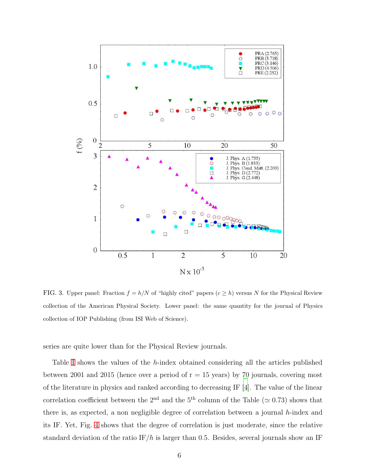

<span id="page-5-0"></span>FIG. 3. Upper panel: Fraction  $f = h/N$  of "highly cited" papers  $(c \geq h)$  versus N for the Physical Review collection of the American Physical Society. Lower panel: the same quantity for the journal of Physics collection of IOP Publishing (from ISI Web of Science).

series are quite lower than for the Physical Review journals.

Table [I](#page-6-0) shows the values of the h-index obtained considering all the articles published between 2001 and 2015 (hence over a period of  $r = 15$  years) by 70 journals, covering most of the literature in physics and ranked according to decreasing IF [\[4](#page-9-3)]. The value of the linear correlation coefficient between the 2<sup>nd</sup> and the 5<sup>th</sup> column of the Table ( $\simeq$  0.73) shows that there is, as expected, a non negligible degree of correlation between a journal h-index and its IF. Yet, Fig. [4](#page-7-0) shows that the degree of correlation is just moderate, since the relative standard deviation of the ratio IF/h is larger than 0.5. Besides, several journals show an IF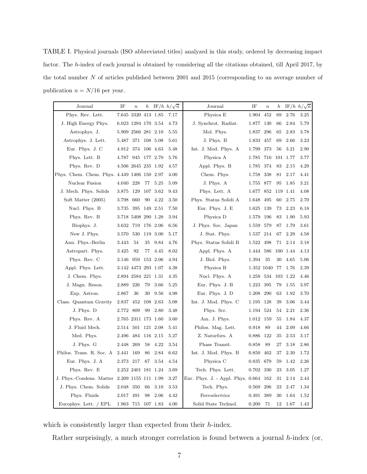<span id="page-6-0"></span>TABLE I. Physical journals (ISO abbreviated titles) analyzed in this study, ordered by decreasing impact factor. The h-index of each journal is obtained by considering all the citations obtained, till April 2017, by the total number N of articles published between 2001 and 2015 (corresponding to an average number of publication  $n = N/16$  per year.

| Journal                                      | IF                  | $\boldsymbol{n}$    | $\boldsymbol{h}$ |            | IF/h $h/\sqrt{n}$ | Journal                           | IF         | $\boldsymbol{n}$ | $\boldsymbol{h}$ |          | IF/h $h/\sqrt{n}$ |
|----------------------------------------------|---------------------|---------------------|------------------|------------|-------------------|-----------------------------------|------------|------------------|------------------|----------|-------------------|
| Phys. Rev. Lett.                             |                     | 7.645 3320 413 1.85 |                  |            | 7.17              | Physica E                         | 1.904      | 452              | 69               | 2.76     | 3.25              |
| J. High Energy Phys.                         | 6.023 1294 170 3.54 |                     |                  |            | 4.73              | J. Synchrot. Radiat.              | 1.877      | 130              | 66               | 2.84     | 5.79              |
| Astrophys. J.                                |                     | 5.909 2566 281 2.10 |                  |            | 5.55              | Mol. Phys.                        | 1.837      | 296              | 65               | 2.83     | 3.78              |
| Astrophys. J. Lett.                          | 5.487               | 371                 |                  | 108 5.08   | 5.61              | J. Phys. B                        | 1.833      | 457              | 69               | 2.66     | 3.23              |
| Eur. Phys. J. C                              | 4.912               | 374                 |                  | 106 4.63   | 5.48              | Int. J. Mod. Phys. A              | 1.799      | 373              | 56               | 3.21     | 2.90              |
| Phys. Lett. B                                | 4.787               | 945                 |                  | 177 2.70   | 5.76              | Physica A                         | 1.785      | 716              |                  | 101 1.77 | 3.77              |
| Phys. Rev. D                                 | 4.506 2645 235 1.92 |                     |                  |            | 4.57              | Appl. Phys. B                     | 1.785      | 374              | 83               | 2.15     | 4.29              |
| Phys. Chem. Chem. Phys. 4.449 1406 150 2.97  |                     |                     |                  |            | 4.00              | Chem. Phys.                       | 1.758      | 338              | 81               | 2.17     | 4.41              |
| Nuclear Fusion                               | 4.040               | 228                 | 77               | 5.25       | 5.09              | J. Phys. A                        | 1.755      | 877              | 95               | 1.85     | 3.21              |
| J. Mech. Phys. Solids                        | 3.875               | 129                 |                  | 107 3.62   | 9.43              | Phys. Lett. A                     | 1.677      | 852              | 119              | 1.41     | 4.08              |
| Soft Matter (2005)                           | 3.798               | 660                 | 90               | 4.22       | 3.50              | Phys. Status Solidi A             | 1.648      | 495              | 60               | 2.75     | 2.70              |
| Nucl. Phys. B                                | 3.735               | 395                 |                  | 149 2.51   | 7.50              | Eur. Phys. J. E                   | 1.625      | 139              | 73               | 2.23     | 6.18              |
| Phys. Rev. B                                 |                     | 3.718 5408 290 1.28 |                  |            | 3.94              | Physica D                         | 1.579      | 196              | 83               | 1.90     | 5.93              |
| Biophys. J.                                  | 3.632               | 719                 |                  | 176 2.06   | 6.56              | J. Phys. Soc. Japan               | 1.559      | 579              | 87               | 1.79     | 3.61              |
| New J. Phys.                                 | 3.570               | 530                 |                  | 119 3.00   | 5.17              | J. Stat. Phys.                    | 1.537      | 214              | 67               | 2.29     | 4.58              |
| Ann. Phys.-Berlin                            | 3.443               | 54                  | 35               | 9.84       | 4.76              | Phys. Status Solidi B             | 1.522      | 498              | 71               | 2.14     | 3.18              |
| Astropart. Phys.                             | 3.425               | 92                  | 77               | 4.45       | 8.02              | Appl. Phys. A                     | 1.444      | 586              |                  | 100 1.44 | 4.13              |
| Phys. Rev. C                                 | 3.146               | 959                 |                  | 153 2.06   | 4.94              | J. Biol. Phys.                    | 1.394      | 35               | 30               | 4.65     | 5.06              |
| Appl. Phys. Lett.                            | 3.142 4473 293 1.07 |                     |                  |            | 4.38              | Physica B                         | 1.352 1040 |                  | 77               | 1.76     | 2.39              |
| J. Chem. Phys.                               | 2.894 2584 221 1.31 |                     |                  |            | 4.35              | Nucl. Phys. A                     | 1.258      | 534              | 103              | 1.22     | 4.46              |
| J. Magn. Reson.                              | 2.889               | $226\,$             | 79               | 3.66       | 5.25              | Eur. Phys. J. B                   | 1.223      | 395              | 79               | 1.55     | 3.97              |
| Exp. Astron.                                 | 2.867               | 36                  | 30               | 9.56       | 4.98              | Eur. Phys. J. D                   | 1.208      | 290              | 63               | 1.92     | 3.70              |
| Class. Quantum Gravity                       | 2.837               | 452                 |                  | $108$ 2.63 | 5.08              | Int. J. Mod. Phys. C              | 1.195      | 128              | 39               | 3.06     | 3.44              |
| J. Phys. D                                   | 2.772               | 809                 | 99               | 2.80       | 3.48              | Phys. Scr.                        | 1.194      | 524              | 54               | 2.21     | 2.36              |
| Phys. Rev. A                                 |                     | 2.765 2311 173 1.60 |                  |            | 3.60              | Am. J. Phys.                      | 1.012      | 159              | 55               | 1.84     | 4.37              |
| J. Fluid Mech.                               | 2.514 501           |                     |                  | 121 2.08   | 5.41              | Philos. Mag. Lett.                | 0.918      | 89               | 44               | 2.09     | 4.66              |
| Med. Phys.                                   | 2.496               | 484                 |                  | 116 2.15   | 5.27              | Z. Naturfors. A                   | 0.886      | 122              | 35               | 2.53     | 3.17              |
| J. Phys. G                                   | 2.448               | 269                 | 58               | 4.22       | 3.54              | Phase Transit.                    | 0.858      | 89               | 27               | 3.18     | 2.86              |
| Philos. Trans. R. Soc. A                     | 2.441               | 169                 | 86               | 2.84       | 6.62              | Int. J. Mod. Phys. B              | 0.850      | 462              | 37               | 2.30     | 1.72              |
| Eur. Phys. J. A                              | 2.373               | 217                 | 67               | 3.54       | 4.54              | Physica C                         | 0.835      | 679              | 59               | 1.42     | 2.26              |
| Phys. Rev. E                                 |                     | 2.252 2401 181 1.24 |                  |            | 3.69              | Tech. Phys. Lett.                 | 0.702      | 330              | 23               | 3.05     | 1.27              |
| J. Phys.-Condens. Matter 2.209 1155 111 1.99 |                     |                     |                  |            | 3.27              | Eur. Phys. J. - Appl. Phys. 0.664 |            | 162              | 31               | 2.14     | 2.44              |
| J. Phys. Chem. Solids                        | 2.048               | 350                 | 66               | 3.10       | 3.53              | Tech. Phys.                       | 0.569      | 296              | 23               | 2.47     | 1.34              |
| Phys. Fluids                                 | 2.017               | 491                 | 98               | 2.06       | 4.42              | Ferroelectrics                    | 0.491      | 389              | 30               | 1.64     | 1.52              |
| Europhys. Lett. / EPL                        | 1.963 715           |                     |                  | 107 1.83   | 4.00              | Solid State Technol.              | 0.200      | 71               | 12               | 1.67     | 1.43              |

which is consistently larger than expected from their  $h$ -index.

Rather surprisingly, a much stronger correlation is found between a journal h-index (or,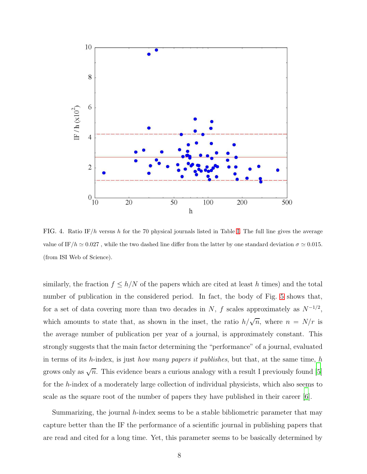

<span id="page-7-0"></span>FIG. 4. Ratio IF/h versus h for the 70 physical journals listed in Table [I.](#page-6-0) The full line gives the average value of IF/h  $\simeq 0.027$ , while the two dashed line differ from the latter by one standard deviation  $\sigma \simeq 0.015$ . (from ISI Web of Science).

similarly, the fraction  $f \leq h/N$  of the papers which are cited at least h times) and the total number of publication in the considered period. In fact, the body of Fig. [5](#page-8-0) shows that, for a set of data covering more than two decades in N, f scales approximately as  $N^{-1/2}$ , which amounts to state that, as shown in the inset, the ratio  $h/\sqrt{n}$ , where  $n = N/r$  is the average number of publication per year of a journal, is approximately constant. This strongly suggests that the main factor determining the "performance" of a journal, evaluated in terms of its h-index, is just how many papers it publishes, but that, at the same time, h grows only as  $\sqrt{n}$ . This evidence bears a curious analogy with a result I previously found [\[5\]](#page-9-4) for the h-index of a moderately large collection of individual physicists, which also seems to scale as the square root of the number of papers they have published in their career [\[6\]](#page-9-5).

Summarizing, the journal  $h$ -index seems to be a stable bibliometric parameter that may capture better than the IF the performance of a scientific journal in publishing papers that are read and cited for a long time. Yet, this parameter seems to be basically determined by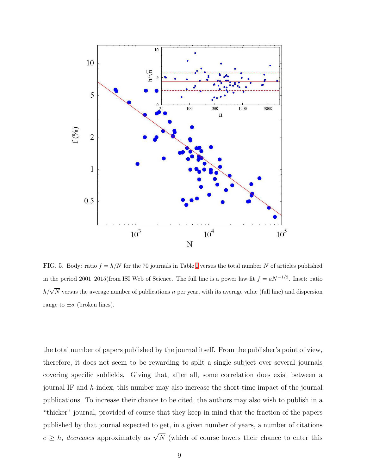

<span id="page-8-0"></span>FIG. 5. Body: ratio  $f = h/N$  for the 70 journals in Table [I](#page-6-0) versus the total number N of articles published in the period 2001–2015(from ISI Web of Science. The full line is a power law fit  $f = aN^{-1/2}$ . Inset: ratio  $h/\sqrt{N}$  versus the average number of publications n per year, with its average value (full line) and dispersion range to  $\pm \sigma$  (broken lines).

the total number of papers published by the journal itself. From the publisher's point of view, therefore, it does not seem to be rewarding to split a single subject over several journals covering specific subfields. Giving that, after all, some correlation does exist between a journal IF and h-index, this number may also increase the short-time impact of the journal publications. To increase their chance to be cited, the authors may also wish to publish in a "thicker" journal, provided of course that they keep in mind that the fraction of the papers published by that journal expected to get, in a given number of years, a number of citations  $c \geq h$ , *decreases* approximately as  $\sqrt{N}$  (which of course lowers their chance to enter this